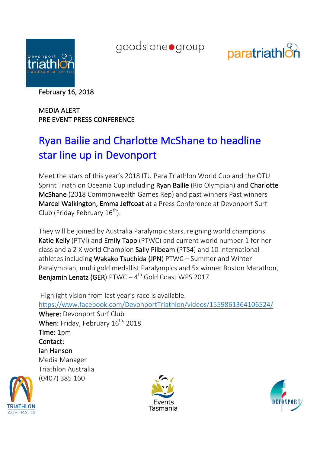

goodstoneogroup



February 16, 2018

MEDIA ALERT PRE EVENT PRESS CONFERENCE

## Ryan Bailie and Charlotte McShane to headline star line up in Devonport

Meet the stars of this year's 2018 ITU Para Triathlon World Cup and the OTU Sprint Triathlon Oceania Cup including Ryan Bailie (Rio Olympian) and Charlotte McShane (2018 Commonwealth Games Rep) and past winners Past winners Marcel Walkington, Emma Jeffcoat at a Press Conference at Devonport Surf Club (Friday February  $16^{th}$ ).

They will be joined by Australia Paralympic stars, reigning world champions Katie Kelly (PTVI) and Emily Tapp (PTWC) and current world number 1 for her class and a 2 X world Champion Sally Pilbeam (PTS4) and 10 International athletes including Wakako Tsuchida (JPN)  $PTWC - Summer$  and Winter Paralympian, multi gold medallist Paralympics and 5x winner Boston Marathon, Benjamin Lenatz (GER)  $PTWC - 4<sup>th</sup>$  Gold Coast WPS 2017.

Highlight vision from last year's race is available. https://www.facebook.com/DevonportTriathlon/videos/1559861364106524/

Where: Devonport Surf Club When: Friday, February  $16^{th}$ , 2018 Time: 1pm Contact: Ian Hanson Media Manager Triathlon Australia (0407) 385 160